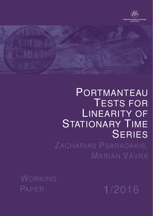



# PORTMANTEAU TESTS FOR LINEARITY OF STATIONARY TIME **SERIES**

ZACHARIAS PSARADAKIS, MARIÁN VÁVRA

WORKING PAPER **1**/2016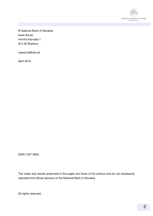

© National Bank of Slovakia www.nbs.sk Imricha Karvaša 1 813 25 Bratislva

research@nbs.sk

April 2016

ISSN 1337-5830

The views and results presented in this paper are those of the authors and do not necessarily represent the official opinions of the National Bank of Slovakia.

All rights reserved.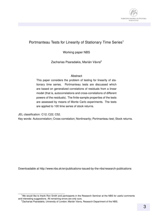

#### Portmanteau Tests for Linearity of Stationary Time Series<sup>1</sup>

Working paper NBS

Zacharias Psaradakis, Marián Vávra<sup>2</sup>

#### Abstract

This paper considers the problem of testing for linearity of stationary time series. Portmanteau tests are discussed which are based on generalized correlations of residuals from a linear model (that is, autocorrelations and cross-correlations of different powers of the residuals). The finite-sample properties of the tests are assessed by means of Monte Carlo experiments. The tests are applied to 100 time series of stock returns.

JEL classification: C12; C22; C52.

Key words: Autocorrelation; Cross-correlation; Nonlinearity; Portmanteau test; Stock returns.

Downloadable at http://www.nbs.sk/en/publications-issued-by-the-nbs/research-publications

<sup>&</sup>lt;sup>1</sup>We would like to thank Ron Smith and participants in the Research Seminar at the NBS for useful comments and interesting suggestions. All remaining errors are only ours.

<sup>&</sup>lt;sup>2</sup>Zacharias Psaradakis, University of London; Marián Vávra, Research Department of the NBS.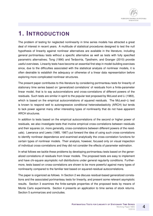### **1. INTRODUCTION**

The problem of testing for neglected nonlinearity in time series models has attracted a great deal of interest in recent years. A multitude of statistical procedures designed to test the null hypothesis of linearity against nonlinear alternatives are available in the literature, including general portmanteau tests without a specific alternative as well as tests with fully specified parametric alternatives; Tong (1990) and Terasvirta, Tjøstheim, and Granger (2010) provide ¨ useful overviews. Linearity tests have become an essential first step in model-building exercises since, due to the difficulties associated with the statistical analysis of nonlinear models, it is often desirable to establish the adequacy or otherwise of a linear data representation before exploring more complicated nonlinear structures.

The present paper contributes to this literature by considering portmanteau tests for linearity of stationary time series based on 'generalized correlations' of residuals from a finite-parameter linear model, that is to say autocorrelations and cross-correlations of different powers of the residuals. Such tests are similar in spirit to the popular test proposed by McLeod and Li (1983), which is based on the empirical autocorrelations of squared residuals. The McLeod–Li test is known to respond well to autoregressive conditional heteroskedasticity (ARCH) but tends to lack power against many other interesting types of nonlinearity that do not have apparent ARCH structures.

In addition to tests based on the empirical autocorrelations of the second or higher power of residuals, we also investigate tests that involve empirical cross-correlations between residuals and their squares (or, more generally, cross-correlations between different powers of the residuals). Lawrance and Lewis (1985, 1987) put forward the idea of using such cross-correlations to identify nonlinear dependence and examined analytically the cross-correlation functions for certain types of nonlinear models. Their analysis, however, focused only on visual inspection of individual cross-correlations and they did not consider the effects of parameter estimation.

In what follows we tackle these problems by developing portmanteau tests based on the generalized correlations of residuals from linear models. The proposed tests are easy to implement and have chi-square asymptotic null distributions under general regularity conditions. Furthermore, tests based on cross-correlations are shown to be more powerful against many types of nonlinearity compared to the familiar test based on squared-residual autocorrelations.

The paper is organized as follows. In Section 2 we discuss residual-based generalized correlations and the associated portmanteau tests for linearity, and present some relevant asymptotic results. Section 3 examines the finite-sample properties of the proposed tests by means of Monte Carlo experiments. Section 4 presents an application to time series of stock returns. Section 5 summarizes and concludes.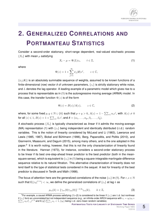

## **2. GENERALIZED CORRELATIONS AND PORTMANTEAU STATISTICS**

Consider a second-order stationary, short-range dependent, real-valued stochastic process  $\{X_t\}$  with mean  $\mu$  satisfying

$$
X_t - \mu = \Psi(L)\varepsilon_t, \qquad t \in \mathbb{Z}, \tag{1}
$$

where

$$
\Psi(z) = 1 + \sum_{j=1}^{\infty} \psi_j(\boldsymbol{\delta}) z^j, \qquad z \in \mathbb{C},
$$

 $\{\psi_i(\boldsymbol{\delta})\}\$ is an absolutely summable sequence of weights, assumed to be known functions of a finite-dimensional (row) vector  $\delta$  of unknown parameters,  $\{\varepsilon_t\}$  is strictly stationary white noise, and  $L$  denotes the lag operator. A leading example of a parametric model which gives rise to a process that is representable as in (1) is the autoregressive moving average (ARMA) model. In this case, the transfer function  $\Psi(z)$  is of the form

$$
\Psi(z) = B(z)/A(z), \qquad z \in \mathbb{C}, \tag{2}
$$

where, for some fixed  $p,q\in\mathbb{N}\cup\{0\}$  such that  $p+q>0,$   $A(z)=1-\sum_{i=1}^p\alpha_iz^i,$  with  $A(z)\neq 0$ for all  $|z|\leqslant 1, B(z)=1+\sum_{i=1}^q\beta_iz^i$ , and  $\boldsymbol{\delta}=(\alpha_1,\ldots,\alpha_p,\beta_1,\ldots,\beta_q).$ 

A stochastic process  $\{X_t\}$  is typically characterized as *linear* if it admits the moving-average (MA) representation (1) with  $\{\varepsilon_t\}$  being independent and identically distributed (i.i.d.) random variables. This is the notion of linearity considered by McLeod and Li (1983), Lawrance and Lewis (1985, 1987), Bickel and Bühlmann (1996), Berg, Paparoditis, and Politis (2010), and Giannerini, Maasoumi, and Dagum (2015), among many others, and is the one adopted in this paper.<sup>3</sup> It is worth noting, however, that this is not the only characterization of linearity found in the literature. Hannan (1973), for instance, considers a second-order stationary process to be linear if its best one-step-ahead linear predictor is the best predictor (both in the meansquare sense), which is equivalent to  $\{\varepsilon_t\}$  in (1) being a square-integrable martingale-difference sequence relative to its natural filtration. This alternative characterization of linearity does not lend itself to the type of statistical tests considered in the sequel. A test for linearity of the best predictor is discussed in Terdik and Máth (1998).

The focus of attention here are the generalized correlations of the noise  $\{\varepsilon_t\}$  in (1). For  $r, s \in \mathbb{N}$ such that  $\mathsf{E}(|\varepsilon_0|^{r+s})<\infty$ , we define the generalized correlations of  $\{\varepsilon_t\}$  at lag  $k$  as

$$
\rho_{rs}(k) = {\gamma_{rr}(0)\gamma_{ss}(0)}^{-1/2}\gamma_{rs}(k), \qquad k \in \mathbb{Z},
$$
\n(3)

<sup>&</sup>lt;sup>3</sup>For example, a causal ARMA process satisfying (1)–(2) is considered to be linear if  $\{\epsilon_t\}$  are i.i.d. but nonlinear if  $\{\varepsilon_t\}$  form an uncorrelated but not independent sequence (e.g., an infinite-order ARCH sequence with  $\varepsilon_t=\eta_t(a_0+$  $\sum_{j=1}^{\infty} a_j \varepsilon_{t-j}^2$ )<sup>1/2</sup> and E $(\eta_0^2)$   $\sum_{j=1}^{\infty} a_j < 1$ ,  $\{\eta_t\}$  being i.i.d. zero-mean random variables).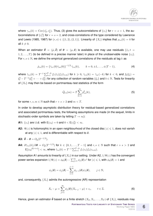where  $\gamma_{rs}(k)=\mathrm{Cov}(\varepsilon_0^r,\varepsilon_k^s).$  Thus, (3) gives the autocorrelations of  $\{\varepsilon_t\}$  for  $r=s=1,$  the autocorrelations of  $\{\varepsilon_t^2\}$  for  $r=s=2,$  and cross-correlations of the type considered by Lawrance and Lewis (1985, 1987) for  $(r, s) \in \{(1, 2), (2, 1)\}\$ . Linearity of  $\{X_t\}$  implies that  $\rho_{rs}(k) = 0$  for all  $k \neq 0$ .

When an estimator  $\hat{\bm{\theta}}~=~(\hat{\mu},\bm{\hat{\delta}})$  of  $\bm{\theta}~=~(\mu,\bm{\delta})$  is available, one may use residuals  $\{\hat{\varepsilon}_t;t=$  $1, 2, \ldots, T$ } (to be defined in a precise manner later) in place of the unobservable noise  $\{\varepsilon_t\}$ . For  $r, s \in \mathbb{N}$ , we define the empirical generalized correlations of the residuals at lag k as

$$
\hat{\rho}_{rs}(k) = {\hat{\gamma}_{rr}(0)\hat{\gamma}_{ss}(0)}^{-1/2} \hat{\gamma}_{rs}(k), \qquad k = 0, \pm 1, \dots, \pm (T - 1), \tag{4}
$$

where  $\hat{\gamma}_{rs}(k) = T^{-1} \sum_{t=1}^{T-k} f_r(\hat{\varepsilon}_t) f_s(\hat{\varepsilon}_{t+k})$  for  $k \geqslant 0$ ,  $\hat{\gamma}_{rs}(k) = \hat{\gamma}_{sr}(-k)$  for  $k < 0$ , and  $f_b(\xi_t) =$  $\xi_t^b-T^{-1}(\xi_1^b+\cdots+\xi_T^b)$  for any collection of random variables  $\{\xi_t\}$  and  $b\in\mathbb{N}.$  Tests for linearity of  $\{X_t\}$  may then be based on portmanteau test statistics of the form

$$
\hat{Q}_{rs}(m) = T \sum_{k=1}^{m} \hat{\rho}_{rs}^2(k),
$$
\n(5)

for some  $r, s, m \in \mathbb{N}$  such that  $r + s > 2$  and  $m < T$ .

In order to develop asymptotic distribution theory for residual-based generalized correlations and associated portmanteau tests, the following assumptions are made (in the sequel, limits in stochastic-order symbols are taken by letting  $T \to \infty$ ):

- **A1:**  $\{\varepsilon_t\}$  are i.i.d. with  $\mathsf{E}(\varepsilon_0) = 0$  and  $0 < \mathsf{E}(\varepsilon_0^2) < \infty$ .
- **A2:**  $\Psi(z)$  is holomorphic in an open neighbourhood of the closed disc  $|z| \leq 1$ , does not vanish at any  $|z| \leq 1$ , and is differentiable with respect to  $\delta$ .
- **A3:**  $\hat{\theta} \theta = O_p(T^{-1/2}).$
- **A4:**  $\partial \tilde{\gamma}_{rs}(k)/\partial \theta = O_p(T^{-1/2})$  for  $k \in \{0, 1, ..., T-1\}$  and  $r, s \in \mathbb{N}$  such that  $r + s > 2$  and  $\mathsf{E}[|\varepsilon_0|^{2(r+s)}]<\infty$ , where  $\tilde{\gamma}_{rs}(k)=T^{-1}\sum_{t=1}^{T-k}f_r(\varepsilon_t)f_s(\varepsilon_{t+k}).$

Assumption A1 amounts to linearity of  $\{X_t\}$  in our setting. Under A2,  $1/\Psi(z)$  has the convergent power series expansion  $1/\Psi(z)=\phi_0(\bm{\delta})-\sum_{j=1}^\infty \phi_j(\bm{\delta})z^j$  for  $|z|\leqslant 1,$  with  $\phi_0(\bm{\delta})=1$  and

$$
\phi_j(\boldsymbol{\delta}) = \psi_j(\boldsymbol{\delta}) - \sum_{i=1}^{j-1} \phi_{j-i}(\boldsymbol{\delta}) \psi_i(\boldsymbol{\delta}), \qquad j \in \mathbb{N},
$$

and, consequently,  $\{X_t\}$  admits the autoregressive (AR) representation

$$
X_t - \mu = \sum_{j=1}^{\infty} \phi_j(\boldsymbol{\delta}) (X_{t-j} - \mu) + \varepsilon_t, \qquad t \in \mathbb{Z}.
$$
 (6)

Hence, given an estimator  $\hat{\theta}$  based on a finite stretch  $(X_0, X_1, \ldots, X_T)$  of  $\{X_t\}$ , residuals may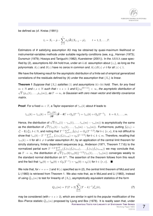

be defined as (cf. Kreiss (1991))

$$
\hat{\varepsilon}_t = X_t - \hat{\mu} - \sum_{j=1}^t \phi_j(\hat{\boldsymbol{\delta}})(X_{t-j} - \hat{\mu}), \qquad t = 1, 2, ..., T.
$$

Estimators of  $\theta$  satisfying assumption A3 may be obtained by quasi-maximum likelihood or instrumental-variables methods under suitable regularity conditions (see, e.g., Hannan (1973); Dunsmuir (1979); Hosoya and Taniguchi (1982); Kuersteiner (2001)). In the ARMA case specified by (2), assumptions A2–A4 hold true, under an i.i.d. assumption about  $\{\varepsilon_t\}$ , as long as the polynomials  $A(z)$  and  $B(z)$  have no zeros in common and  $A(z)B(z) \neq 0$  for all  $|z| \leq 1$ .

We have the following result for the asymptotic distribution of a finite set of empirical generalized correlations of the residuals defined by (4) under the assumption that  $\{X_t\}$  is linear.

**Theorem 1** *Suppose that*  $\{X_t\}$  *satisfies* (1) *and assumptions* A1–A4 *hold. Then, for any fixed*  $m\in\mathbb{N}$  and  $r,s\in\mathbb{N}$  such that  $r+s>2$  and  $\mathsf{E}[|\varepsilon_0|^{2(r+s)}]<\infty,$  the asymptotic distribution of √  $T\left(\hat{\rho}_{rs}(1),\dots,\hat{\rho}_{rs}(m)\right)$ , as  $T\to\infty$ , is Gaussian with zero mean vector and identity covariance *matrix.*

**Proof**: For a fixed  $m < T$ , a Taylor expansion of  $\hat{\gamma}_{rs}(k)$  about  $\theta$  leads to

$$
\hat{\gamma}_{rs}(k) = \tilde{\gamma}_{rs}(k) + \frac{\partial \tilde{\gamma}_{rs}(k)}{\partial \theta} (\hat{\theta} - \theta)' + O_p(T^{-1}) = \tilde{\gamma}_{rs}(k) + O_p(T^{-1}), \quad k = 0, 1, ..., m.
$$

Hence, the distribution of  $\sqrt{T}(\hat{\gamma}_{rs}(1)-\gamma_{rs}(1),\ldots,\hat{\gamma}_{rs}(m)-\gamma_{rs}(m))$  is asymptotically the same as the distribution of  $\sqrt{T}(\tilde{\gamma}_{rs}(1) - \gamma_{rs}(1), \ldots, \tilde{\gamma}_{rs}(m) - \gamma_{rs}(m))$ . Furthermore, putting  $\dot{f}_b(\varepsilon_t) =$  $\varepsilon_t^b-\mathsf{E}(\varepsilon_0^b),\,b\in\mathbb{N},$  and noting that  $T^{-1}\sum_{t=1}^T\dot{f}_b(\varepsilon_t)=O_p(T^{-1/2})$  for  $b\in\{r,s\},$  it is not difficult to show that  $\tilde\gamma_{rs}(k)-T^{-1}\sum_{t=1}^T\dot f_r(\varepsilon_t)\dot f_s(\varepsilon_{t+k})=o_p(T^{-1/2})$  for  $0\leqslant k\leqslant m.$  Therefore, recalling that  $\gamma_{rs}(k) = 0$  for all  $k \neq 0$  under assumption A1, by an application of the central limit theorem for strictly stationary, finitely dependent sequences (e.g., Anderson (1971, Theorem 7.7.6)) to the normalized partial sum  $T^{-1/2}\sum_{t=1}^T(\dot f_r(\varepsilon_t)\dot f_s(\varepsilon_{t+1}),\dots,\dot f_r(\varepsilon_t)\dot f_s(\varepsilon_{t+m}))$  we may conclude that, as  $T \to \infty$ , the distribution of  $\sqrt{T} {\gamma_{rr}(0)\gamma_{ss}(0)}^{-1/2}(\hat{\gamma}_{rs}(1),...,\hat{\gamma}_{rs}(m))$  converges weakly to the standard normal distribution on  $\mathbb{R}^m$ . The assertion of the theorem follows from this result and the fact that  $\hat{\gamma}_{bb}(0) = \tilde{\gamma}_{bb}(0) + O_p(T^{-1}) = \gamma_{bb}(0) + o_p(1)$  for  $b \in \{r, s\}$ .

We note that, for  $r = s = 2$  and  $\Psi(z)$  specified as in (2), the central limit theorem of McLeod and Li (1983) is retrieved from Theorem 1. We also note that, as in McLeod and Li (1983), instead of using  $\mathring{Q}_{rs}(m)$  to test for linearity of  $\{X_t\}$ , asymptotically equivalent statistics of the form

$$
Q_{rs}(m) = T(T+2) \sum_{k=1}^{m} (T-k)^{-1} \hat{\rho}_{rs}^{2}(k), \tag{7}
$$

may be considered (with  $r + s > 2$ ), which are similar in spirit to the popular modification of the Box–Pierce statistic  $\ddot{Q}_{11}(m)$  proposed by Ljung and Box (1978). It is readily seen that, under **PORTMANTEAU TESTS FOR LINEARITY OF STATIONARY TIME SERIES**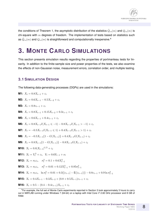

the conditions of Theorem 1, the asymptotic distribution of the statistics  $\mathring{Q}_{rs}(m)$  and  $Q_{rs}(m)$  is chi-square with  $m$  degrees of freedom. The implementation of tests based on statistics such as  $\tilde{Q}_{rs}(m)$  and  $Q_{rs}(m)$  is straightforward and computationally inexpensive.<sup>4</sup>

### **3. MONTE CARLO SIMULATIONS**

This section presents simulation results regarding the properties of portmanteau tests for linearity. In addition to the finite-sample size and power properties of the tests, we also examine the effects of non-Gaussian noise, measurement errors, correlation order, and multiple testing.

#### **3.1 SIMULATION DESIGN**

The following data-generating processes (DGPs) are used in the simulations:

**M1:**  $X_t = 0.8X_{t-1} + \varepsilon_t$ **M2:**  $X_t = 0.6X_{t-1} - 0.5X_{t-2} + \varepsilon_t$ **M3:**  $X_t = 0.8\varepsilon_{t-1} + \varepsilon_t$ **M4:**  $X_t = 0.8X_{t-1} + 0.15X_{t-2} + 0.3\varepsilon_{t-1} + \varepsilon_t$ **M5:**  $X_t = 0.6X_{t-1} + 0.4\varepsilon_{t-1} + \varepsilon_t$ **M6:**  $X_t = 0.8X_{t-1}I(X_{t-1} \leq -1) - 0.8X_{t-1}I(X_{t-1} > -1) + \varepsilon_t$ **M7:**  $X_t = -0.5X_{t-1}I(X_{t-1} \leq 1) + 0.4X_{t-1}I(X_{t-1} > 1) + \varepsilon_t$ **M8:**  $X_t = -0.5X_{t-1}{1 - G(X_{t-1})} + 0.4X_{t-1}G(X_{t-1}) + \varepsilon_t$ **M9:**  $X_t = 0.8X_{t-1}\{1 - G(X_{t-1})\} - 0.8X_{t-1}G(X_{t-1}) + \varepsilon_t$ **M10:**  $X_t = 0.8|X_{t-1}|^{1/2} + \varepsilon_t$ **M11:**  $X_t = Y_t^2 + \varepsilon_t$ ,  $Y_t = 0.6Y_{t-1} + \nu_t$ **M12:**  $X_t = \sigma_t \varepsilon_t$ ,  $\sigma_t^2 = 0.1 + 0.6X_{t-1}^2$ **M13:**  $X_t = \sigma_t \varepsilon_t$ ,  $\sigma_t^2 = 0.01 + 0.12X_{t-1}^2 + 0.85\sigma_{t-1}^2$ **M14:**  $X_t = \sigma_t \varepsilon_t$ ,  $\ln \sigma_t^2 = 0.01 + 0.3\{|\varepsilon_{t-1}| - \mathsf{E}(|\varepsilon_{t-1}|)\} - 0.8\varepsilon_{t-1} + 0.9 \ln \sigma_{t-1}^2$ **M15:**  $X_t = 0.4X_{t-1} - 0.3X_{t-2} + (0.8 + 0.5X_{t-1})\varepsilon_{t-1} + \varepsilon_t$ **M16:**  $X_t = 0.5 - (0.4 - 0.4\varepsilon_{t-1})X_{t-1} + \varepsilon_t$ 

<sup>4</sup>For example, the full set of Monte Carlo experiments reported in Section 3 took approximately 3 hours to carry out in MATLAB running under Windows 7 (64-bit) on a laptop with Intel Core i7 2.60 GHz processor and 8 GB of RAM.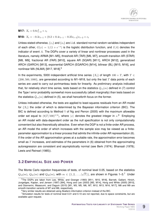

#### **M17:**  $X_t = 0.8\varepsilon_{t-2}^2 + \varepsilon_t$

#### **M18:**  $X_t = -0.3\varepsilon_{t-1} + (0.2 + 0.4\varepsilon_{t-1} - 0.25\varepsilon_{t-2})\varepsilon_{t-2} + \varepsilon_t$

Unless stated otherwise,  $\{\varepsilon_t\}$  and  $\{\nu_t\}$  are i.i.d. standard normal random variables independent of each other,  $G(x) = 1/(1 + e^{-x})$  is the logistic distribution function, and  $I(A)$  denotes the indicator of event A. The DGPs cover a variety of linear and nonlinear processes used in the literature, namely ARMA [M1–M5], threshold AR (TAR) [M6, M7], smooth-transition AR (STAR) [M8, M9], fractional AR (FAR) [M10], square AR (SQAR) [M11], ARCH [M12], generalized ARCH (GARCH) [M13], exponential GARCH (EGARCH) [M14], bilinear (BL) [M15, M16], and nonlinear MA (NLMA) [M17, M18].<sup>5</sup>

In the experiments, 5000 independent artificial time series { $X<sub>t</sub>$ } of length 100 + T, with  $T \in$  $\{200, 500, 1000\}$ , are generated according to M1–M18, but only the last T data points of each series are used to carry out portmanteau tests for linearity. As preliminary analysis indicated that, for relatively short time series, tests based on the statistics  $Q_{rs}(m)$  defined in (7) control the Type I error probability somewhat more successfully (albeit marginally) than tests based on the statistics  $\mathring{Q}_{rs}(m)$  defined in (5), we shall henceforth focus on the former.

Unless indicated otherwise, the tests are applied to least-squares residuals from an AR model for  $\{X_t\}$  the order of which is determined by the Bayesian information criterion (BIC). The BIC is defined according to Method 1 of Ng and Perron (2005) with the maximum allowable order set equal to  $\langle 8(T / 100)^{1/4} \rangle$ , where  $\langle x \rangle$  denotes the greatest integer in  $x$ .<sup>6</sup> Employing an AR model with data-dependent order as the null specification is not only computationally convenient but also theoretically attractive. Even when the DGP is not a finite-order AR process, an AR model the order of which increases with the sample size may be viewed as a finiteparameter approximation to a linear process that admits the infinite-order AR representation (6). If the order of the AR approximation grows at a suitable rate, the approximation error becomes small as  $T$  increases, and estimates of the parameters in (6) obtained from the approximating autoregression are consistent and asymptotically normal (see Berk (1974); Bhansali (1978); Lewis and Reinsel (1985)).

#### **3.2 EMPIRICAL SIZE AND POWER**

The Monte Carlo rejection frequencies of tests, of nominal level 0.05, based on the statistics  $Q_{12}(m),\, Q_{21}(m)$  and  $Q_{22}(m),$  with  $m\,\in\,\{1,2,\ldots,\langle\,|\,\rangle\}$  $\sqrt{T}$ }, are shown in Figures 1–3.<sup>7</sup> Under

<sup>5</sup>The DGPs are taken from Lee, White, and Granger (1993) [M11, M15, M18], Barnett, Gallant, Hinich, Jungeilges, Kaplan, and Jensen (1997) [M4], Hong and Lee (2003) [M2, M14], Hong and White (2005) [M10], and Giannerini, Maasoumi, and Dagum (2015) [M1, M3, M5, M6, M7, M12, M13, M16, M17]; M8 and M9 are smooth-transition variants of M7 and M6, respectively.

<sup>&</sup>lt;sup>6</sup>Very similar results are obtained using Akaike's information criterion instead of the BIC.

 $7$ Simulation results for tests of nominal level 0.01 and 0.10 are not reported, due to space constraints, but are available upon request.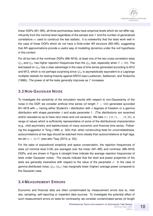

linear DGPs (M1–M5), all three portmanteau tests have empirical levels which do not differ significantly from the nominal level regardless of the sample size  $T$  and the number of generalized correlations  $m$  used to construct the test statistic. It is noteworthy that the tests work well in the case of linear DGPs which do not have a finite-order AR structure (M3–M5), suggesting that AR approximations provide a useful way of modelling dynamics under the null hypothesis in this context.

For all but two of the nonlinear DGPs (M6–M18), at least one of the two cross-correlation tests  $Q_{12}$  and  $Q_{21}$  has higher rejection frequencies than the  $Q_{22}$  test, especially when  $T \leq 500$ . The test based on  $Q_{22}$  has a clear advantage in the case of time series generated according to M12 and M13, which is not perhaps surprising since  $Q_{22}$  is asymptotically equivalent to a Lagrange multiplier statistic for testing linearity against ARCH (see Luukkonen, Saikkonen, and Terasvirta ¨ (1988)). The power of all the tests generally improves as  $T$  increases.

#### **3.3 NON-GAUSSIAN NOISE**

To investigate the sensitivity of the simulation results with respect to non-Gaussianity of the noise in the DGP, we consider artificial time series (of length  $T = 500$ ) generated accorded M1–M18 with  $\varepsilon_t$  having either Student's t distribution with d degrees of freedom or a gamma distribution with shape parameter  $d$  and scale parameter 1. (The distributions are recentred and/or rescaled so as to have zero mean and unit variance). We take  $d \in \{10, 11, \ldots, 19, 20\}$ , a range of values which is sufficiently representative of some of the distributional characteristics (e.g., mild asymmetry and leptokurtosis) of many economic and financial time series. Following the suggestion in Tong (1990, p. 324) that, when constructing tests for uncorrelatedness, autocorrelations at low lags should be watched more closely than autocorrelations at high lags, we set  $m = \langle \ln T \rangle$  (see also Tsay (2010, p. 33)).

For the sake of expositional simplicity and space conservation, the rejection frequencies of tests (of nominal level 0.05) are averaged over the linear (M1–M5) and nonlinear (M6–M18) DGPs, and are shown in Figure 4 (straight lines indicate the average rejection frequencies of tests under Gaussian noise). The results indicate that the level and power properties of the tests are generally insensitive with respect to the value of the parameter  $d$ . In the case of gamma distributed noise,  $Q_{22}$   $(Q_{21})$  has marginally lower (higher) average power compared to the Gaussian case.

#### **3.4 MEASUREMENT ERRORS**

Economic and financial data are often contaminated by measurement errors due to, inter alia, sampling, self-reporting or imperfect data sources. To investigate the potential effect of such measurement errors on tests for nonlinearity, we consider contaminated series (of length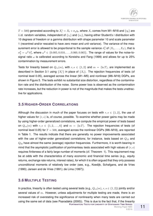$T=500)$  generated according to  $X_t^*=X_t+\sigma_\eta\eta_t,$  where  $X_t$  comes from M1–M18 and  $\{\eta_t\}$  are i.i.d. random variables, independent of  $\{\varepsilon_t\}$  and  $\{\nu_t\}$ , having either Student's t distribution with 10 degrees of freedom or a gamma distribution with shape parameter 10 and scale parameter 1 (recentred and/or rescaled to have zero mean and unit variance). The variance of the measurement error is allowed to be proportional to the sample variance  $\hat{\sigma}_x^2$  of  $(X_1,\ldots,X_T),$  that is  $\sigma_\eta^2=\omega^2\,\hat{\sigma}_x^2$ , where  $\omega^2\in\{0.005,0.010,\ldots,0.060,0.065\}.$  The range of values for the noise-tosignal ratio  $\omega$  is calibrated according to Koreisha and Fang (1999) and allows for up to 25% contamination by measurement errors.

Tests for linearity based on  $Q_{rs}(m)$ , with  $r, s \in \{1,2\}$  and  $m = \langle \ln T \rangle$ , are implemented as described in Section 3.1 using  $\{X^*_t\}$  in place of  $\{X_t\}$ . The rejection frequencies of tests (of nominal level 0.05), averaged across the linear (M1–M5) and nonlinear (M6–M18) DGPs, are shown in Figure 5. The tests exhibit no substantial size distortion, regardless of the contamination rate and the distribution of the noise. Some power loss is observed as the contamination rate increases, but the reduction in power is not of the magnitude that makes the tests unattractive for applications.

#### **3.5 HIGHER-ORDER CORRELATIONS**

Although the discussion in much of the paper focuses on tests with  $r, s \in \{1,2\}$ , the use of higher values for  $(r, s)$  is, of course, possible. To examine whether power gains may be made by using higher-order generalized correlations, we compute the empirical power of tests based on  $Q_{rs}(m)$  with  $r, s \in \{1, 2, ..., 6\}$  and  $m = \langle \ln T \rangle$ . The rejection frequencies of tests (of nominal level 0.05) for  $T = 500$ , averaged across the nonlinear DGPs (M6–M18), are reported in Table 1. The results indicate that there are generally no power improvements associated with the use of higher-order generalized correlations; for instance, tests based on  $Q_{12}$  and  $Q_{32}$  have almost the same (average) rejection frequencies. Furthermore, it is worth bearing in mind that the asymptotic justification of portmanteau tests associated with high values of  $(r, s)$ requires finiteness of a fairly large number of moments (cf. Theorem 1). This requirement may be at odds with the characteristics of many economic and financial time series (e.g., equity returns, exchange rate returns, interest rates), for which it is often argued that they only possess unconditional moments of relatively low order (see, e.g., Koedijk, Schafgans, and de Vries (1990); Jansen and de Vries (1991); de Lima (1997)).

#### **3.6 MULTIPLE TESTING**

In practice, linearity is often tested using several tests (e.g.,  $Q_{rs}(m)$ ,  $r, s \in \{1, 2\}$ ) jointly and/or several values of  $m$ . However, unless adjustments for multiple testing are made, there is an increased risk of overstating the significance of nonlinearity when many tests are carried out using the same set of data (see Psaradakis (2000)). This is due to the fact that, if the linearity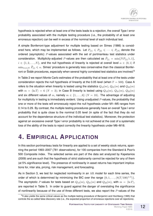hypothesis is rejected when at least one of the tests leads to a rejection, the overall Type I error probability associated with the multiple testing procedure (i.e., the probability of at least one erroneous rejection) can be well in excess of the nominal level of each individual test.

A simple Bonferroni-type adjustment for multiple testing based on Simes (1986) is considered here, which may be implemented as follows. Let  $P_{(1)} \leq P_{(2)} \leq \cdots \leq P_{(N)}$  denote the ordered (asymptotic) P-values associated with the set of portmanteau test statistics under consideration. Multiplicity-adjusted P-values are then calculated as  $\tilde{P}_{(i)} = \min\{NP_{(i)}/i,1\},$  $i \in \{1, 2, ..., N\}$ , and the null hypothesis of linearity is rejected at overall level  $\alpha \in (0, 1)$  if  $\min_{1\leqslant i\leqslant N}\tilde{P}_{(i)}\leqslant\alpha.$  Simes' procedure is generally less conservative than the classical Bonferroni or Šidák procedures, especially when several highly correlated test statistics are involved.<sup>8</sup>

In Table 2 we report Monte Carlo estimates of the probability that at least one of the tests under consideration rejects the null hypothesis of linearity at the 0.05 level (when  $T = 500$ ). Case A refers to the situation when linearity is tested using the statistics  $Q_{12}(m)$ ,  $Q_{21}(m)$  and  $Q_{22}(m)$ with  $m = \langle \ln T \rangle = 6$  ( $N = 3$ ); in Case B linearity is tested using  $Q_{12}(m)$ ,  $Q_{21}(m)$ ,  $Q_{22}(m)$ and six different values of m, namely  $m \in \{1, \ldots, 6\}$   $(N = 18)$ . The advantage of adjusting for multiplicity in testing is immediately evident. Using unadjusted P-values, the probability that one or more of the tests will erroneously reject the null hypothesis under M1–M5 ranges from 0.14 to 0.29. By contrast, the multiple testing procedures generally have an overall Type I error probability that is quite close to the nominal 0.05 level (in spite of the fact that they do not account for the dependence structure of the individual test statistics). Moreover, the protection against an excessive overall Type I error probability is not achieved at the cost of a systematic loss of the ability of the tests to reject correctly the linearity hypothesis under M6–M18.

### **4. EMPIRICAL APPLICATION**

In this section portmanteau tests for linearity are applied to a set of weekly stock returns, spanning the period 1993–2007 (781 observations), for 100 companies from the Standard & Poor's 500 Composite index. The selected series are part of the data set analyzed by Kapetanios (2009) and are such that the hypothesis of strict stationarity cannot be rejected for any of them (at 5% significance level). The presence of nonlinearity in asset returns has important implications for, inter alia, pricing, risk management, and forecasting.

As in Section 3, we test for neglected nonlinearity in an AR model for each time series, the order of which is determined by minimizing the BIC over the range  $\{0, 1, \ldots, \langle 8(T / 100)^{1/4} \rangle\}.$ The asymptotic P-values for tests based on  $Q_{12}(m)$ ,  $Q_{21}(m)$  and  $Q_{22}(m)$ , with  $m = \langle \ln T \rangle$ , are reported in Table 5. In order to guard against the danger of overstating the significance of nonlinearity because of the use of three different tests, we also report the  $P$ -values of the

<sup>&</sup>lt;sup>8</sup>It also yields the same critical values as the multiple testing procedure of Benjamini and Hochberg (1995) that controls the so-called false discovery rate (i.e., the expected proportion of erroneous rejections over all rejections).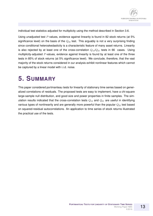individual test statistics adjusted for multiplicity using the method described in Section 3.6.

Using unadjusted test P-values, evidence against linearity is found in 82 stock returns (at 5% significance level) on the basis of the  $Q_{22}$  test. This arguably is not a very surprising finding since conditional heteroskedasticity is a characteristic feature of many asset returns. Linearity is also rejected by at least one of the cross-correlation  $Q_{12}/Q_{21}$  tests in 66 cases. Using multiplicity-adjusted P-values, evidence against linearity is found by at least one of the three tests in 85% of stock returns (at 5% significance level). We conclude, therefore, that the vast majority of the stock returns considered in our analysis exhibit nonlinear features which cannot be captured by a linear model with i.i.d. noise.

### **5. SUMMARY**

This paper considered portmanteau tests for linearity of stationary time series based on generalized correlations of residuals. The proposed tests are easy to implement, have a chi-square large-sample null distribution, and good size and power properties in finite samples. The simulation results indicated that the cross-correlation tests  $Q_{12}$  and  $Q_{21}$  are useful in identifying various types of nonlinearity and are generally more powerful than the popular  $Q_{22}$  test based on squared-residual autocorrelations. An application to time series of stock returns illustrated the practical use of the tests.

13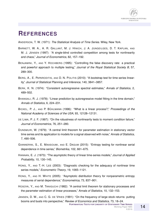### **REFERENCES**

ANDERSON, T. W. (1971): *The Statistical Analysis of Time Series*. Wiley, New York.

- BARNETT, W. A., A. R. GALLANT, M. J. HINICH, J. A. JUNGEILGES, D. T. KAPLAN, AND M. J. JENSEN (1997): "A single-blind controlled competition among tests for nonlinearity and chaos," *Journal of Econometrics*, 82, 157–192.
- BENJAMINI, Y., AND Y. HOCHBERG (1995): "Controlling the false discovery rate: a practical and powerful approach to multiple testing," *Journal of the Royal Statistical Society B*, 57, 289–300.
- BERG, A., E. PAPARODITIS, AND D. N. POLITIS (2010): "A bootstrap test for time series linearity," *Journal of Statistical Planning and Inference*, 140, 3841–3857.
- BERK, K. N. (1974): "Consistent autoregressive spectral estimates," *Annals of Statistics*, 2, 489–502.
- BHANSALI, R. J. (1978): "Linear prediction by autoregressive model fitting in the time domain," *Annals of Statistics*, 6, 224–231.
- BICKEL, P. J., AND P. BÜHLMANN (1996): "What is a linear process?," *Proceedings of the National Academy of Sciences of the USA*, 93, 12128–12131.
- DE LIMA, P. J. F. (1997): "On the robustness of nonlinearity tests to moment condition failure," *Journal of Econometrics*, 76, 251–280.
- DUNSMUIR, W. (1979): "A central limit theorem for parameter estimation in stationary vector time series and its application to models for a signal observed with noise," *Annals of Statistics*, 7, 490–506.
- GIANNERINI, S., E. MAASOUMI, AND E. DAGUM (2015): "Entropy testing for nonlinear serial dependence in time series," *Biometrika*, 102, 661–675.
- HANNAN, E. J. (1973): "The asymptotic theory of linear time-series models," *Journal of Applied Probability*, 10, 130–145.
- HONG, Y., AND T.-H. LEE (2003): "Diagnostic checking for the adequacy of nonlinear time series models," *Econometric Theory*, 19, 1065–1121.
- HONG, Y., AND H. WHITE (2005): "Asymptotic distribution theory for nonparametric entropy measures of serial dependence," *Econometrica*, 73, 837–901.
- HOSOYA, Y., AND M. TANIGUCHI (1982): "A central limit theorem for stationary processes and the parameter estimation of linear processes," *Annals of Statistics*, 10, 132–153.
- JANSEN, D. W., AND C. G. DE VRIES (1991): "On the frequency of large stock returns: putting booms and busts into perspective," *Review of Economics and Statistics*, 73, 18–24.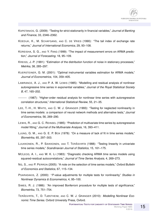

- KAPETANIOS, G. (2009): "Testing for strict stationarity in financial variables," *Journal of Banking and Finance*, 33, 2346–2362.
- KOEDIJK, K., M. SCHAFGANS, AND C. DE VRIES (1990): "The tail index of exchange rate returns," *Journal of International Economics*, 29, 93–108.
- KOREISHA, S. G., AND Y. FANG (1999): "The impact of measurement errors on ARMA prediction," *Journal of Forecasting*, 18, 95–109.
- KREISS, J.-P. (1991): "Estimation of the distribution function of noise in stationary processes," *Metrika*, 38, 285–297.
- KUERSTEINER, G. M. (2001): "Optimal instrumental variables estimation for ARMA models," *Journal of Econometrics*, 104, 359–405.
- LAWRANCE, A. J., AND P. A. W. LEWIS (1985): "Modelling and residual analysis of nonlinear autoregressive time series in exponential variables," *Journal of the Royal Statistical Society B*, 47, 165–202.
- (1987): "Higher-order residual analysis for nonlinear time series with autoregressive correlation structures," *International Statistical Review*, 55, 21–35.
- LEE, T.-H., H. WHITE, AND C. W. J. GRANGER (1993): "Testing for neglected nonlinearity in time series models: a comparison of neural network methods and alternative tests," *Journal of Econometrics*, 56, 269–290.
- LEWIS, R., AND G. C. REINSEL (1985): "Prediction of multivariate time series by autoregressive model fitting," *Journal of the Multivariate Analysis*, 16, 393–411.
- LJUNG, G. M., AND G. E. P. BOX (1978): "On a measure of lack of fit in time series models," *Biometrika*, 65, 297–303.
- LUUKKONEN, R., P. SAIKKONEN, AND T. TERÄSVIRTA (1988): "Testing linearity in univariate time series models," *Scandinavian Journal of Statistics*, 15, 161–175.
- MCLEOD, A. I., AND W. K. LI (1983): "Diagnostic checking ARMA time series models using squared-residual autocorrelations," *Journal of Time Series Analysis*, 4, 269–273.
- NG, S., AND P. PERRON (2005): "A note on the selection of time series models," *Oxford Bulletin of Economics and Statistics*, 67, 115–134.
- PSARADAKIS, Z. (2000): "*P*-value adjustments for multiple tests for nonlinearity," *Studies in Nonlinear Dynamics & Econometrics*, 4, 95–100.
- SIMES, R. J. (1986): "An improved Bonferroni procedure for multiple tests of significance," *Biometrika*, 73, 751–754.
- TERÄSVIRTA, T., D. TJØSTHEIM, AND C. W. J. GRANGER (2010): *Modelling Nonlinear Economic Time Series*. Oxford University Press, Oxford.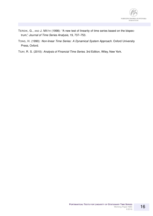

- TERDIK, G., AND J. MÁTH (1998): "A new test of linearity of time series based on the bispectrum," *Journal of Time Series Analysis*, 19, 737–753.
- TONG, H. (1990): *Non-linear Time Series: A Dynamical System Approach*. Oxford University Press, Oxford.
- TSAY, R. S. (2010): *Analysis of Financial Time Series*. 3rd Edition, Wiley, New York.

16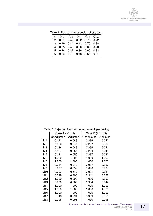

|  |  | $w \begin{bmatrix} Q_{1w} & Q_{w1} & Q_{2w} & Q_{w2} & Q_{ww} \end{bmatrix}$ |
|--|--|------------------------------------------------------------------------------|

|  |  | Table 1: Rejection frequencies of $Q_{rs}$ tests |  |  |  |
|--|--|--------------------------------------------------|--|--|--|
|--|--|--------------------------------------------------|--|--|--|

| Table 2: Rejection frequencies under multiple testing                                                                                                                             |  |  |  |
|-----------------------------------------------------------------------------------------------------------------------------------------------------------------------------------|--|--|--|
|                                                                                                                                                                                   |  |  |  |
| $\bullet$ , $\bullet$ , $\bullet$ , $\bullet$ , $\bullet$ , $\bullet$ , $\bullet$ , $\bullet$ , $\bullet$ , $\bullet$ , $\bullet$ , $\bullet$ , $\bullet$ , $\bullet$ , $\bullet$ |  |  |  |

|                 | Case A $(N = 3)$ |          | Case B ( $N = 18$ ) |                 |  |  |  |  |
|-----------------|------------------|----------|---------------------|-----------------|--|--|--|--|
|                 | Unadjusted       | Adjusted | Unadjusted          | <b>Adjusted</b> |  |  |  |  |
| M <sub>1</sub>  | 0.141            | 0.048    | 0.286               | 0.042           |  |  |  |  |
| M <sub>2</sub>  | 0.136            | 0.044    | 0.287               | 0.039           |  |  |  |  |
| M <sub>3</sub>  | 0.136            | 0.048    | 0.296               | 0.041           |  |  |  |  |
| M <sub>4</sub>  | 0.137            | 0.054    | 0.284               | 0.043           |  |  |  |  |
| M <sub>5</sub>  | 0.141            | 0.055    | 0.287               | 0.042           |  |  |  |  |
| M <sub>6</sub>  | 1.000            | 1.000    | 1.000               | 1.000           |  |  |  |  |
| M7              | 1.000            | 1.000    | 1.000               | 1.000           |  |  |  |  |
| M <sub>8</sub>  | 0.964            | 0.919    | 0.997               | 0.966           |  |  |  |  |
| M <sub>9</sub>  | 0.997            | 0.992    | 1.000               | 0.997           |  |  |  |  |
| M <sub>10</sub> | 0.723            | 0.542    | 0.931               | 0.681           |  |  |  |  |
| M11             | 0.799            | 0.703    | 0.941               | 0.788           |  |  |  |  |
| M <sub>12</sub> | 1.000            | 0.999    | 1.000               | 0.999           |  |  |  |  |
| M13             | 0.980            | 0.965    | 0.984               | 0.944           |  |  |  |  |
| M14             | 1.000            | 1.000    | 1.000               | 1.000           |  |  |  |  |
| M15             | 1.000            | 1.000    | 1.000               | 1.000           |  |  |  |  |
| M16             | 1.000            | 1.000    | 1.000               | 1.000           |  |  |  |  |
| M17             | 0.946            | 0.894    | 0.989               | 0.920           |  |  |  |  |
| M18             | 0.998            | 0.991    | 1.000               | 0.995           |  |  |  |  |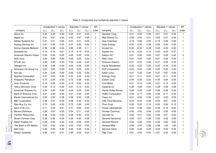|                             | Unadjusted P-values |          |          | Adjusted P-values |          |          | AR             |                             | Unadjusted P-values |          |          | Adjusted P-values | <b>AR</b> |          |              |
|-----------------------------|---------------------|----------|----------|-------------------|----------|----------|----------------|-----------------------------|---------------------|----------|----------|-------------------|-----------|----------|--------------|
| company                     | $Q_{12}$            | $Q_{21}$ | $Q_{22}$ | $Q_{12}$          | $Q_{21}$ | $Q_{22}$ | order          | company                     | $Q_{12}$            | $Q_{21}$ | $Q_{22}$ | $Q_{12}$          | $Q_{21}$  | $Q_{22}$ | order        |
| Alcoa Inc                   | 0.20                | 0.00     | 0.00     | 0.20              | 0.01     | 0.00     | $\mathbf{1}$   | Danaher Corp.               | 0.01                | 0.00     | 0.00     | 0.01              | 0.01      | 0.00     | $\mathbf{1}$ |
| Apple Inc.                  | 0.01                | 0.67     | 0.45     | 0.02              | 0.67     | 0.68     | $\overline{c}$ | Walt Disney Co.             | 0.62                | 0.05     | 0.01     | 0.62              | 0.07      | 0.04     |              |
| Adobe Systems Inc           | 0.21                | 0.01     | 0.00     | 0.21              | 0.01     | 0.00     | $\mathbf{1}$   | Dow Chemical                | 0.19                | 0.06     | 0.00     | 0.19              | 0.09      | 0.00     |              |
| Analog Devices Inc          | 0.07                | 0.00     | 0.00     | 0.07              | 0.00     | 0.00     | $\mathbf{1}$   | Duke Energy                 | 0.00                | 0.00     | 0.00     | 0.00              | 0.00      | 0.00     |              |
| Archer-Daniels-Midland      | 0.56                | 0.99     | 0.04     | 0.85              | 0.99     | 0.11     | $\mathbf{1}$   | Ecolab Inc.                 | 0.00                | 0.00     | 0.00     | 0.00              | 0.00      | 0.00     |              |
| Autodesk Inc                | 0.10                | 0.19     | 0.01     | 0.15              | 0.19     | 0.02     | 1              | Equifax Inc.                | 0.13                | 0.23     | 0.12     | 0.20              | 0.23      | 0.37     |              |
| American Electric Power     | 0.00                | 0.00     | 0.00     | 0.00              | 0.00     | 0.00     | 1              | Edison Int'l                | 0.01                | 0.00     | 0.00     | 0.01              | 0.00      | 0.00     | 2            |
| <b>AES Corp</b>             | 0.00                | 0.00     | 0.00     | 0.00              | 0.00     | 0.00     | $\mathbf{1}$   | EMC Corp.                   | 0.01                | 0.00     | 0.00     | 0.01              | 0.00      | 0.00     |              |
| <b>AFLAC</b> Inc            | 0.00                | 0.00     | 0.00     | 0.00              | 0.00     | 0.00     | $\mathbf{1}$   | <b>Emerson Electric</b>     | 0.31                | 0.03     | 0.00     | 0.31              | 0.04      | 0.00     |              |
| Allergan Inc                | 0.04                | 0.09     | 0.00     | 0.06              | 0.09     | 0.00     | $\mathbf{1}$   | <b>Equity Residential</b>   | 0.45                | 0.22     | 0.00     | 0.45              | 0.34      | 0.00     |              |
| American Intl Group Inc     | 0.03                | 0.00     | 0.00     | 0.03              | 0.00     | 0.00     | $\mathbf{1}$   | <b>EQT Corporation</b>      | 0.20                | 0.00     | 0.00     | 0.20              | 0.00      | 0.00     |              |
| Aon plc                     | 0.02                | 0.00     | 0.00     | 0.02              | 0.00     | 0.00     | $\mathbf{1}$   | Eaton Corp.                 | 0.47                | 0.22     | 0.40     | 0.47              | 0.67      | 0.59     |              |
| Apache Corporation          | 0.37                | 0.02     | 0.00     | 0.37              | 0.03     | 0.00     | $\mathbf{1}$   | Entergy Corp.               | 0.01                | 0.11     | 0.00     | 0.01              | 0.11      | 0.00     |              |
| Anadarko Petroleum          | 0.73                | 0.05     | 0.00     | 0.73              | 0.08     | 0.00     | $\mathbf{1}$   | Exelon Corp.                | 0.45                | 0.43     | 0.02     | 0.45              | 0.64      | 0.05     |              |
| <b>Avon Products</b>        | 0.19                | 0.00     | 0.00     | 0.19              | 0.00     | 0.00     | $\mathbf{1}$   | Ford Motor                  | 0.01                | 0.15     | 0.00     | 0.01              | 0.15      | 0.00     |              |
| Avery Dennison Corp         | 0.00                | 0.12     | 0.00     | 0.01              | 0.12     | 0.00     | $\mathbf{1}$   | Fastenal Co                 | 0.28                | 0.06     | 0.03     | 0.28              | 0.09      | 0.08     |              |
| American Express Co         | 0.24                | 0.00     | 0.00     | 0.24              | 0.00     | 0.00     | $\mathbf{1}$   | <b>Family Dollar Stores</b> | 0.86                | 0.05     | 0.00     | 0.86              | 0.08      | 0.00     |              |
| <b>Bank of America Corp</b> | 0.21                | 0.00     | 0.00     | 0.21              | 0.00     | 0.00     | $\mathbf{1}$   | FedEx Corporation           | 0.04                | 0.17     | 0.00     | 0.06              | 0.17      | 0.00     |              |
| Baxter International Inc.   | 0.06                | 0.00     | 0.28     | 0.09              | 0.00     | 0.28     | $\mathbf{1}$   | Fisery Inc.                 | 0.01                | 0.00     | 0.00     | 0.01              | 0.00      | 0.00     |              |
| <b>BBT</b> Corporation      | 0.58                | 0.01     | 0.00     | 0.58              | 0.02     | 0.00     | 1              | Fifth Third Bancorp         | 0.04                | 0.00     | 0.00     | 0.04              | 0.01      | 0.00     |              |
| Best Buy Co. Inc.           | 0.75                | 0.00     | 0.00     | 0.75              | 0.00     | 0.00     | $\mathbf{1}$   | Fluor Corp.                 | 0.00                | 0.03     | 0.12     | 0.00              | 0.04      | 0.12     |              |
| Bard (C.R.) Inc.            | 0.71                | 0.03     | 0.01     | 0.71              | 0.05     | 0.02     | $\mathbf{1}$   | <b>Forest Laboratories</b>  | 0.03                | 0.08     | 0.64     | 0.09              | 0.12      | 0.64     |              |
| <b>Becton Dickinson</b>     | 0.24                | 0.07     | 0.00     | 0.24              | 0.11     | 0.00     | $\mathbf{1}$   | Frontier Commun.            | 0.00                | 0.00     | 0.00     | 0.00              | 0.00      | 0.00     |              |
| <b>Franklin Resources</b>   | 0.38                | 0.00     | 0.00     | 0.38              | 0.00     | 0.00     | $\mathbf{1}$   | Gannett Co.                 | 0.64                | 0.01     | 0.00     | 0.64              | 0.01      | 0.00     |              |
| Brown-Forman Corp           | 0.29                | 0.00     | 0.04     | 0.29              | 0.00     | 0.06     | $\mathbf{1}$   | <b>General Dynamics</b>     | 0.50                | 0.01     | 0.00     | 0.50              | 0.02      | 0.00     |              |
| Baker Hughes Inc            | 0.24                | 0.00     | 0.00     | 0.24              | 0.00     | 0.00     | $\mathbf{1}$   | <b>General Electric</b>     | 0.00                | 0.00     | 0.00     | 0.00              | 0.00      | 0.00     |              |
| The Bank of NY Mellon       | 0.23                | 0.00     | 0.00     | 0.23              | 0.00     | 0.00     | $\mathbf{1}$   | <b>General Mills</b>        | 0.98                | 0.87     | 0.98     | 0.98              | 1.00      | 1.00     |              |
| <b>Ball Corp</b>            | 0.00                | 0.00     | 0.00     | 0.00              | 0.00     | 0.00     | $\mathbf{1}$   | <b>Genuine Parts</b>        | 0.02                | 0.02     | 0.00     | 0.02              | 0.03      | 0.00     |              |
| <b>Boston Scientific</b>    | 0.95                | 0.01     | 0.01     | 0.95              | 0.02     | 0.04     | $\mathbf{1}$   | Gap (The)                   | 0.81                | 0.00     | 0.00     | 0.81              | 0.00      | 0.00     |              |

NÁRODNÁ BANKA SLOVENSKA<br>Burosystům

Table 3: Unadjusted and multiplicity-adjusted  $P$ -values

**P**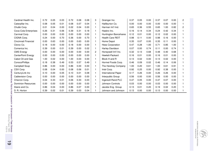| Cardinal Health Inc.      | 0.72 | 0.05 | 0.03 | 0.72 | 0.08 | 0.08 | 3 | Grainger Inc.           | 0.37 | 0.05 | 0.00 | 0.37 | 0.07 | 0.00 | $\overline{c}$ |
|---------------------------|------|------|------|------|------|------|---|-------------------------|------|------|------|------|------|------|----------------|
| Caterpillar Inc.          | 0.08 | 0.05 | 0.01 | 0.08 | 0.07 | 0.04 |   | Halliburton Co.         | 0.00 | 0.00 | 0.00 | 0.00 | 0.00 | 0.00 |                |
| Chubb Corp.               | 0.01 | 0.04 | 0.00 | 0.02 | 0.04 | 0.00 |   | Harman Int'l Ind.       | 0.65 | 0.36 | 0.55 | 0.65 | 1.00 | 0.82 | 2              |
| Coca-Cola Enterprises     | 0.26 | 0.31 | 0.06 | 0.39 | 0.31 | 0.18 |   | Hasbro Inc.             | 0.16 | 0.14 | 0.34 | 0.24 | 0.42 | 0.34 |                |
| Carnival Corp.            | 0.00 | 0.00 | 0.00 | 0.00 | 0.00 | 0.00 |   | Huntington Bancshares   | 0.12 | 0.01 | 0.00 | 0.12 | 0.02 | 0.00 |                |
| CIGNA Corp.               | 0.24 | 0.00 | 0.70 | 0.36 | 0.00 | 0.70 |   | <b>Health Care REIT</b> | 0.98 | 0.11 | 0.00 | 0.98 | 0.16 | 0.00 |                |
| Cincinnati Financial      | 0.00 | 0.63 | 0.00 | 0.00 | 0.63 | 0.00 |   | Home Depot              | 0.35 | 0.07 | 0.00 | 0.35 | 0.11 | 0.00 |                |
| Clorox Co.                | 0.18 | 0.00 | 0.00 | 0.18 | 0.00 | 0.00 |   | <b>Hess Corporation</b> | 0.47 | 0.28 | 1.00 | 0.71 | 0.85 | 1.00 |                |
| Comerica Inc.             | 0.39 | 0.00 | 0.01 | 0.39 | 0.00 | 0.02 |   | Harley-Davidson         | 0.07 | 0.00 | 0.74 | 0.11 | 0.00 | 0.74 |                |
| <b>CMS Energy</b>         | 0.00 | 0.00 | 0.00 | 0.00 | 0.00 | 0.00 | 2 | Honeywell Int'l Inc.    | 0.32 | 0.13 | 0.68 | 0.48 | 0.40 | 0.68 |                |
| <b>CenterPoint Energy</b> | 0.00 | 0.00 | 0.00 | 0.00 | 0.00 | 0.00 |   | Hewlett-Packard         | 0.16 | 0.01 | 0.00 | 0.16 | 0.01 | 0.00 |                |
| Cabot Oil and Gas         | 1.00 | 0.02 | 0.00 | 1.00 | 0.03 | 0.00 |   | Block H and R           | 0.13 | 0.02 | 0.00 | 0.13 | 0.02 | 0.00 |                |
| ConocoPhillips            | 0.18 | 0.38 | 0.49 | 0.53 | 0.57 | 0.49 |   | Hormel Foods Corp.      | 0.46 | 0.09 | 0.02 | 0.46 | 0.14 | 0.06 |                |
| Campbell Soup             | 0.86 | 0.00 | 0.00 | 0.86 | 0.00 | 0.00 |   | The Hershey Company     | 1.00 | 0.20 | 0.61 | 1.00 | 0.61 | 0.91 |                |
| CSX Corp.                 | 0.08 | 0.04 | 0.00 | 0.08 | 0.06 | 0.01 |   | Intel Corp.             | 0.92 | 0.25 | 0.00 | 0.92 | 0.38 | 0.00 |                |
| CenturyLink Inc           | 0.10 | 0.00 | 0.05 | 0.10 | 0.01 | 0.08 |   | International Paper     | 0.17 | 0.26 | 0.00 | 0.26 | 0.26 | 0.00 |                |
| Cablevision Corp.         | 0.00 | 0.00 | 0.00 | 0.00 | 0.00 | 0.00 |   | Interpublic Group       | 0.56 | 0.00 | 0.00 | 0.56 | 0.00 | 0.00 |                |
| Chevron Corp.             | 0.04 | 0.33 | 0.01 | 0.06 | 0.33 | 0.03 |   | Ingersoll-Rand PLC      | 0.47 | 0.05 | 0.00 | 0.47 | 0.07 | 0.00 |                |
| <b>Dominion Resources</b> | 0.00 | 0.00 | 0.00 | 0.00 | 0.00 | 0.00 |   | Johnson Controls        | 0.03 | 0.00 | 0.00 | 0.03 | 0.00 | 0.00 |                |
| Deere and Co.             | 0.86 | 0.04 | 0.00 | 0.86 | 0.07 | 0.00 |   | Jacobs Eng. Group       | 0.13 | 0.01 | 0.20 | 0.19 | 0.02 | 0.20 |                |
| D. R. Horton              | 0.39 | 0.02 | 0.01 | 0.39 | 0.03 | 0.04 |   | Johnson and Johnson     | 0.13 | 0.00 | 0.00 | 0.13 | 0.00 | 0.00 |                |

**P**

NÁRODNÁ BANKA SLOVENSKA<br>Burosystům

B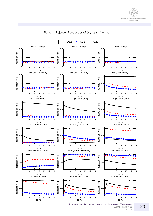



Figure 1: Rejection frequencies of  $Q_{rs}$  tests:  $T = 200$ 

Working Paper NBS **1**/2016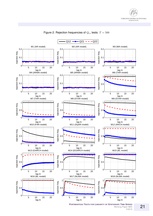



Figure 2: Rejection frequencies of  $Q_{rs}$  tests:  $T = 500$ 

**PORTMANTEAU TESTS FOR LINEARITY OF STATIONARY TIME SERIES** Working Paper NBS **1**/2016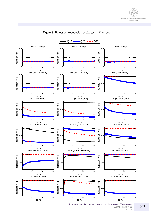



Figure 3: Rejection frequencies of  $Q_{rs}$  tests:  $T = 1000$ 

**PORTMANTEAU TESTS FOR LINEARITY OF STATIONARY TIME SERIES** Working Paper NBS **1**/2016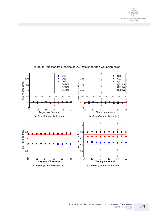



#### Figure 4: Rejection frequencies of  $Q_{rs}$  tests under non-Gaussian noise

**PORTMANTEAU TESTS FOR LINEARITY OF STATIONARY TIME SERIES** Working Paper NBS **1**/2016